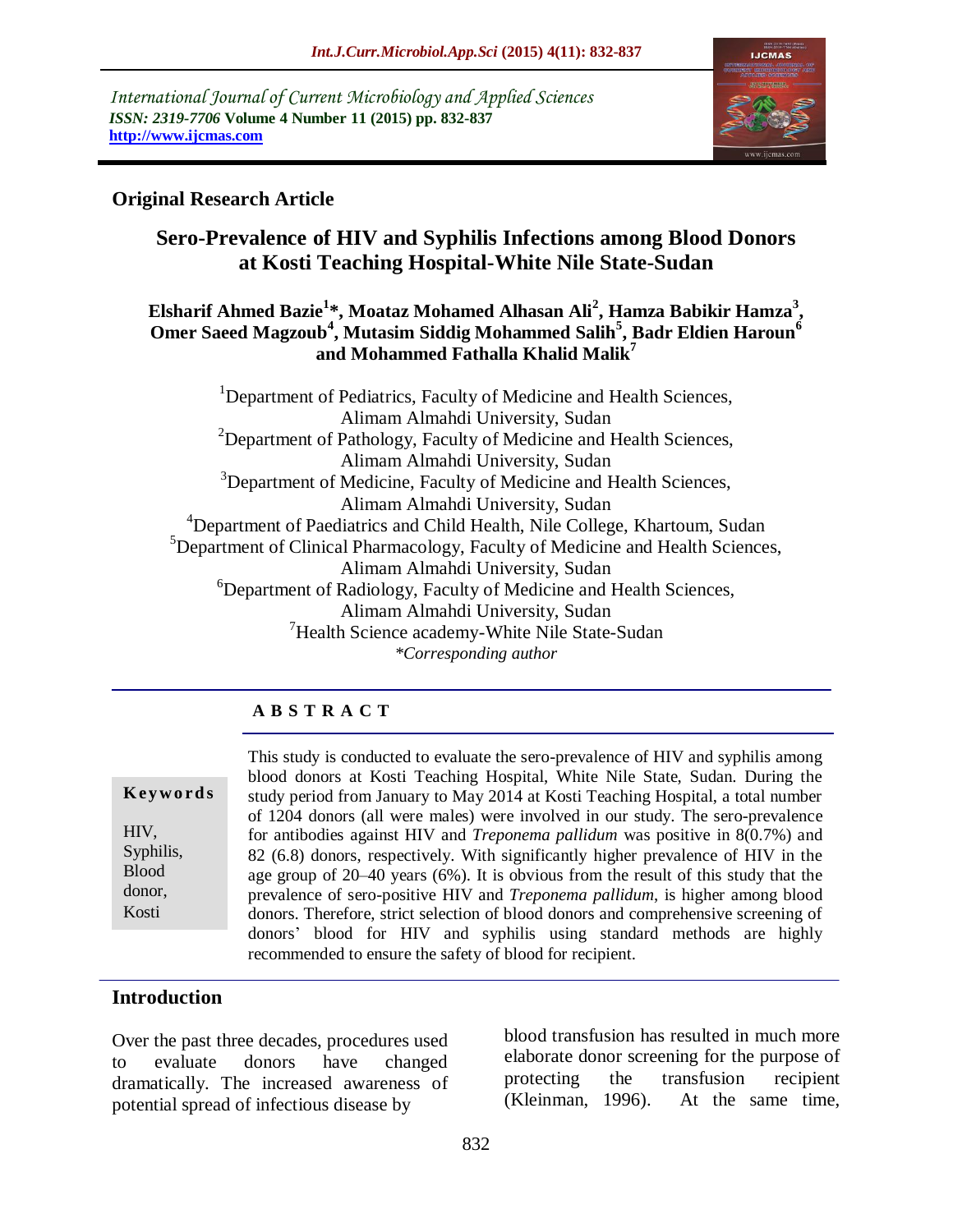*International Journal of Current Microbiology and Applied Sciences ISSN: 2319-7706* **Volume 4 Number 11 (2015) pp. 832-837 http://www.ijcmas.com** 



### **Original Research Article**

# **Sero-Prevalence of HIV and Syphilis Infections among Blood Donors at Kosti Teaching Hospital-White Nile State-Sudan**

### **Elsharif Ahmed Bazie<sup>1</sup> \*, Moataz Mohamed Alhasan Ali<sup>2</sup> , Hamza Babikir Hamza<sup>3</sup> , Omer Saeed Magzoub<sup>4</sup> , Mutasim Siddig Mohammed Salih<sup>5</sup> , Badr Eldien Haroun<sup>6</sup> and Mohammed Fathalla Khalid Malik<sup>7</sup>**

<sup>1</sup>Department of Pediatrics, Faculty of Medicine and Health Sciences, Alimam Almahdi University, Sudan <sup>2</sup>Department of Pathology, Faculty of Medicine and Health Sciences, Alimam Almahdi University, Sudan <sup>3</sup>Department of Medicine, Faculty of Medicine and Health Sciences, Alimam Almahdi University, Sudan <sup>4</sup>Department of Paediatrics and Child Health, Nile College, Khartoum, Sudan <sup>5</sup>Department of Clinical Pharmacology, Faculty of Medicine and Health Sciences, Alimam Almahdi University, Sudan <sup>6</sup>Department of Radiology, Faculty of Medicine and Health Sciences, Alimam Almahdi University, Sudan <sup>7</sup>Health Science academy-White Nile State-Sudan *\*Corresponding author*

### **A B S T R A C T**

|              | blood donors at K   |
|--------------|---------------------|
| Keywords     | study period from . |
|              | of 1204 donors (al  |
| HIV,         | for antibodies agai |
| Syphilis,    | 82 (6.8) donors, re |
| <b>Blood</b> | age group of 20–4   |
| donor,       | prevalence of sero- |
| Kosti        | donors. Therefore,  |
|              | donors' blood fo    |

This study is conducted to evaluate the sero-prevalence of HIV and syphilis among Kosti Teaching Hospital, White Nile State, Sudan. During the January to May 2014 at Kosti Teaching Hospital, a total number If were males) were involved in our study. The sero-prevalence inst HIV and *Treponema pallidum* was positive in 8(0.7%) and espectively. With significantly higher prevalence of HIV in the  $\alpha$  vears (6%). It is obvious from the result of this study that the positive HIV and *Treponema pallidum*, is higher among blood strict selection of blood donors and comprehensive screening of or HIV and syphilis using standard methods are highly recommended to ensure the safety of blood for recipient.

### **Introduction**

Over the past three decades, procedures used to evaluate donors have changed dramatically. The increased awareness of potential spread of infectious disease by

blood transfusion has resulted in much more elaborate donor screening for the purpose of protecting the transfusion recipient (Kleinman, 1996). At the same time,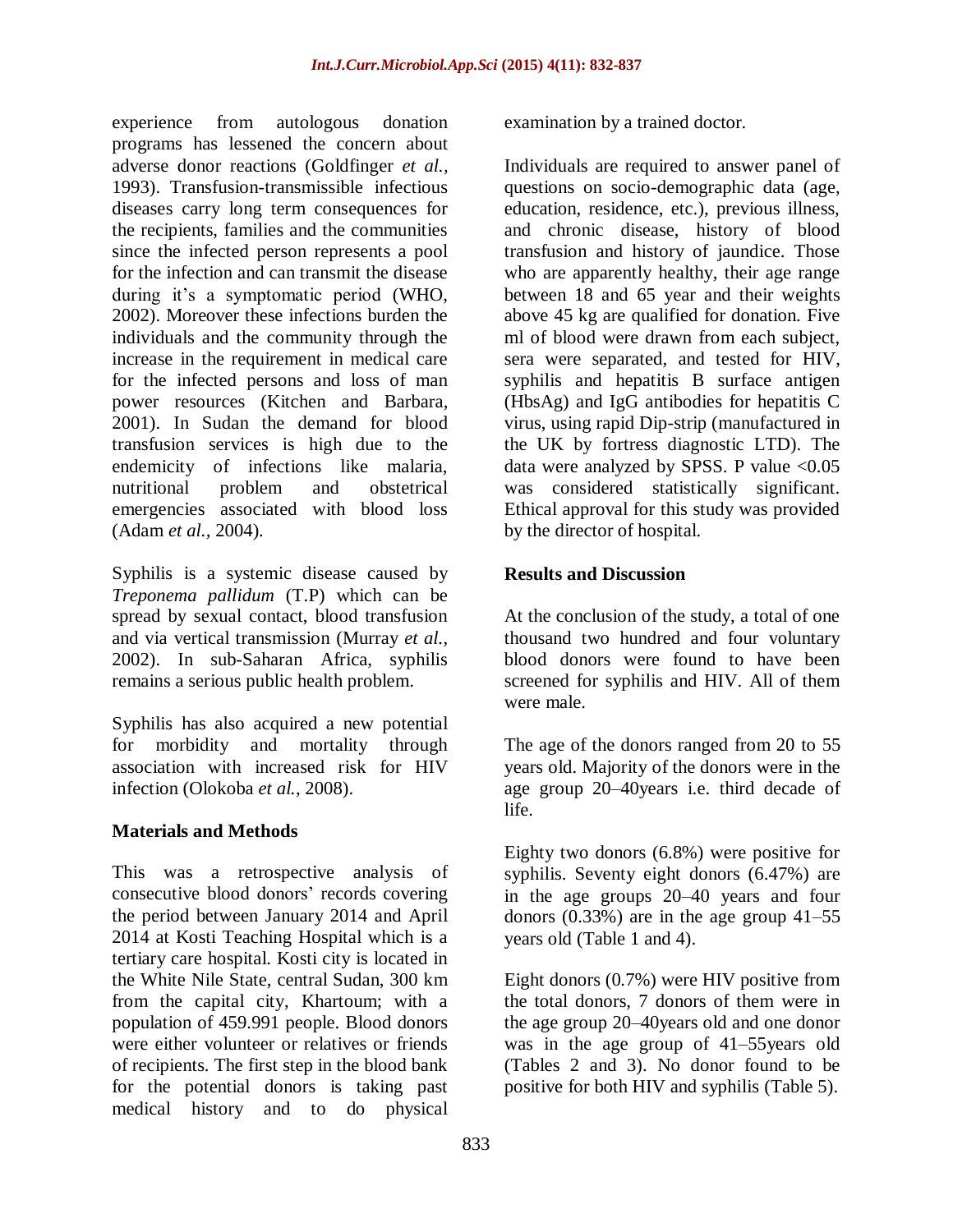experience from autologous donation programs has lessened the concern about adverse donor reactions (Goldfinger *et al.,* 1993). Transfusion-transmissible infectious diseases carry long term consequences for the recipients, families and the communities since the infected person represents a pool for the infection and can transmit the disease during it's a symptomatic period (WHO, 2002). Moreover these infections burden the individuals and the community through the increase in the requirement in medical care for the infected persons and loss of man power resources (Kitchen and Barbara, 2001). In Sudan the demand for blood transfusion services is high due to the endemicity of infections like malaria, nutritional problem and obstetrical emergencies associated with blood loss (Adam *et al.,* 2004).

Syphilis is a systemic disease caused by *Treponema pallidum* (T.P) which can be spread by sexual contact, blood transfusion and via vertical transmission (Murray *et al.,* 2002). In sub-Saharan Africa, syphilis remains a serious public health problem.

Syphilis has also acquired a new potential for morbidity and mortality through association with increased risk for HIV infection (Olokoba *et al.,* 2008).

### **Materials and Methods**

This was a retrospective analysis of consecutive blood donors' records covering the period between January 2014 and April 2014 at Kosti Teaching Hospital which is a tertiary care hospital. Kosti city is located in the White Nile State, central Sudan, 300 km from the capital city, Khartoum; with a population of 459.991 people. Blood donors were either volunteer or relatives or friends of recipients. The first step in the blood bank for the potential donors is taking past medical history and to do physical

examination by a trained doctor.

Individuals are required to answer panel of questions on socio-demographic data (age, education, residence, etc.), previous illness, and chronic disease, history of blood transfusion and history of jaundice. Those who are apparently healthy, their age range between 18 and 65 year and their weights above 45 kg are qualified for donation. Five ml of blood were drawn from each subject, sera were separated, and tested for HIV, syphilis and hepatitis B surface antigen (HbsAg) and IgG antibodies for hepatitis C virus, using rapid Dip-strip (manufactured in the UK by fortress diagnostic LTD). The data were analyzed by SPSS. P value  $< 0.05$ was considered statistically significant. Ethical approval for this study was provided by the director of hospital.

#### **Results and Discussion**

At the conclusion of the study, a total of one thousand two hundred and four voluntary blood donors were found to have been screened for syphilis and HIV. All of them were male.

The age of the donors ranged from 20 to 55 years old. Majority of the donors were in the age group 20–40years i.e. third decade of life.

Eighty two donors (6.8%) were positive for syphilis. Seventy eight donors (6.47%) are in the age groups 20–40 years and four donors  $(0.33\%)$  are in the age group  $41-55$ years old (Table 1 and 4).

Eight donors (0.7%) were HIV positive from the total donors, 7 donors of them were in the age group 20–40years old and one donor was in the age group of 41–55years old (Tables 2 and 3). No donor found to be positive for both HIV and syphilis (Table 5).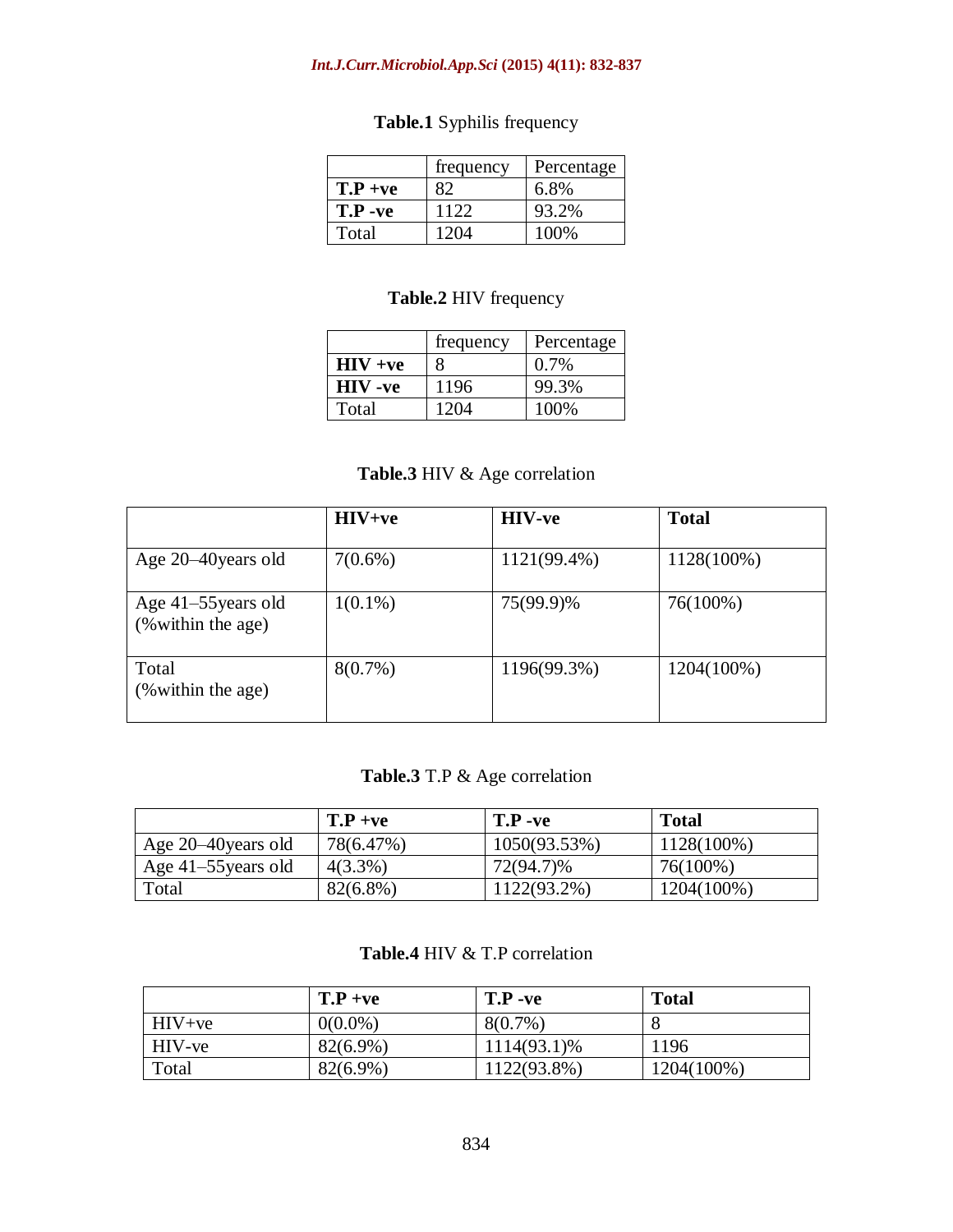#### *Int.J.Curr.Microbiol.App.Sci* **(2015) 4(11): 832-837**

# **Table.1** Syphilis frequency

|            | frequency | Percentage |
|------------|-----------|------------|
| $T.P + ve$ | 82        | 6.8%       |
| $T.P -ve$  | 1122      | 93.2%      |
| Total      | 1204      | 100%       |

### **Table.2** HIV frequency

|                | frequency | Percentage |
|----------------|-----------|------------|
| $HIV +ve$      |           | $0.7\%$    |
| <b>HIV</b> -ve | 1196      | 99.3%      |
| Total          | 1204      | 100%       |

# **Table.3** HIV & Age correlation

|                                           | $HIV+ve$   | <b>HIV-ve</b> | <b>Total</b> |
|-------------------------------------------|------------|---------------|--------------|
| Age 20–40 years old                       | $7(0.6\%)$ | 1121(99.4%)   | 1128(100%)   |
| Age 41–55 years old<br>(% within the age) | $1(0.1\%)$ | 75(99.9)%     | 76(100%)     |
| Total<br>(% within the age)               | $8(0.7\%)$ | 1196(99.3%)   | 1204(100%)   |

# **Table.3** T.P & Age correlation

|                     | $T.P + ve$  | $T.P -ve$    | <b>Total</b>  |
|---------------------|-------------|--------------|---------------|
| Age 20–40 years old | 78(6.47%)   | 1050(93.53%) | $1128(100\%)$ |
| Age 41–55 years old | $4(3.3\%)$  | 72(94.7)%    | 76(100%)      |
| Total               | $82(6.8\%)$ | 1122(93.2%)  | 1204(100%)    |

### **Table.4** HIV & T.P correlation

|          | $T.P + ve$ | $T.P -ve$   | <b>Total</b> |
|----------|------------|-------------|--------------|
| $HIV+ve$ | $0(0.0\%)$ | $8(0.7\%)$  |              |
| HIV-ve   | 82(6.9%)   | 1114(93.1)% | 1196         |
| Total    | 82(6.9%)   | 1122(93.8%) | 1204(100%)   |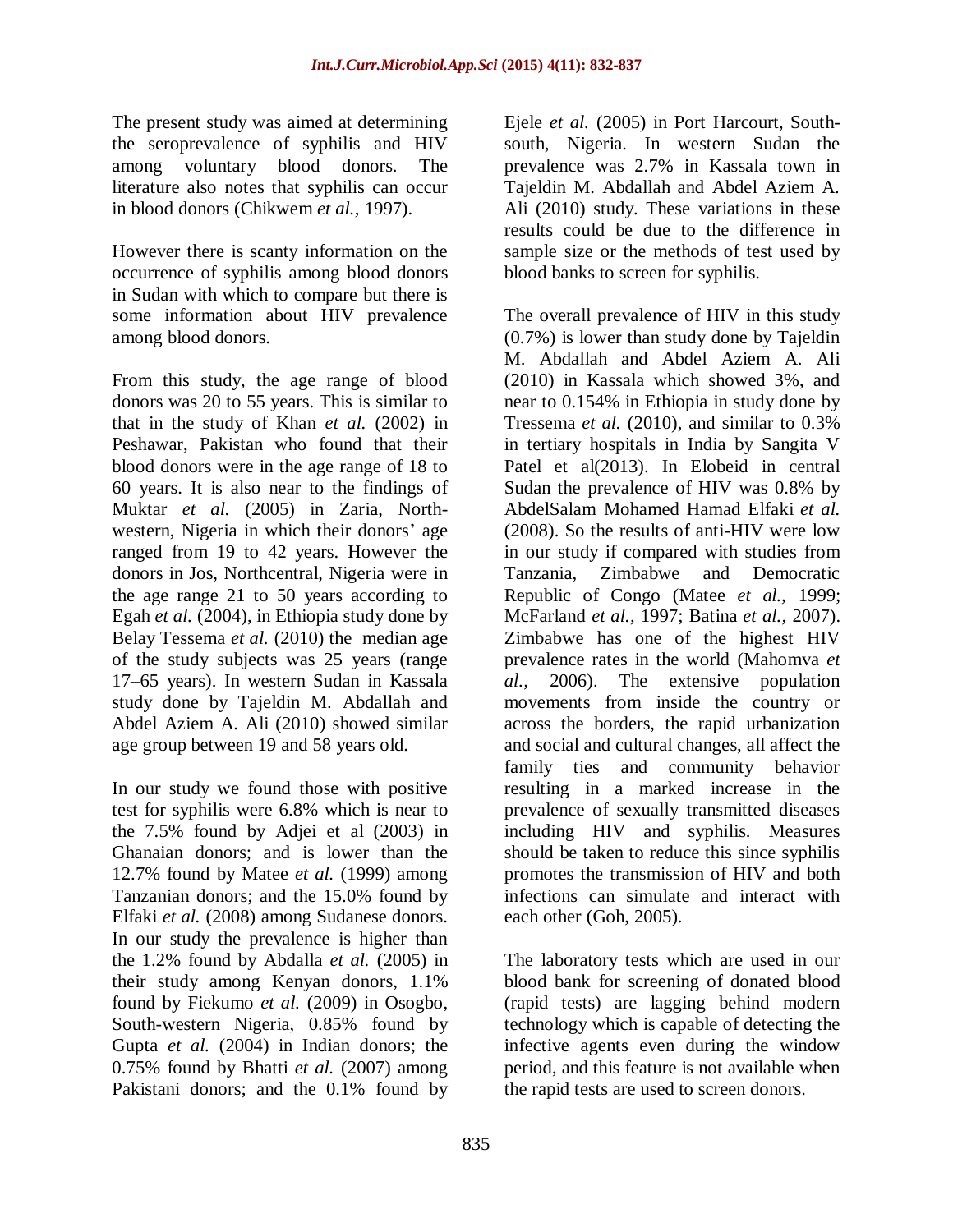The present study was aimed at determining the seroprevalence of syphilis and HIV among voluntary blood donors. The literature also notes that syphilis can occur in blood donors (Chikwem *et al.,* 1997).

However there is scanty information on the occurrence of syphilis among blood donors in Sudan with which to compare but there is some information about HIV prevalence among blood donors.

From this study, the age range of blood donors was 20 to 55 years. This is similar to that in the study of Khan *et al.* (2002) in Peshawar, Pakistan who found that their blood donors were in the age range of 18 to 60 years. It is also near to the findings of Muktar *et al.* (2005) in Zaria, Northwestern, Nigeria in which their donors' age ranged from 19 to 42 years. However the donors in Jos, Northcentral, Nigeria were in the age range 21 to 50 years according to Egah *et al.* (2004), in Ethiopia study done by Belay Tessema *et al.* (2010) the median age of the study subjects was 25 years (range 17–65 years). In western Sudan in Kassala study done by Tajeldin M. Abdallah and Abdel Aziem A. Ali (2010) showed similar age group between 19 and 58 years old.

In our study we found those with positive test for syphilis were 6.8% which is near to the 7.5% found by Adjei et al (2003) in Ghanaian donors; and is lower than the 12.7% found by Matee *et al.* (1999) among Tanzanian donors; and the 15.0% found by Elfaki *et al.* (2008) among Sudanese donors. In our study the prevalence is higher than the 1.2% found by Abdalla *et al.* (2005) in their study among Kenyan donors, 1.1% found by Fiekumo *et al.* (2009) in Osogbo, South-western Nigeria, 0.85% found by Gupta *et al.* (2004) in Indian donors; the 0.75% found by Bhatti *et al.* (2007) among Pakistani donors; and the 0.1% found by

Ejele *et al.* (2005) in Port Harcourt, Southsouth, Nigeria. In western Sudan the prevalence was 2.7% in Kassala town in Tajeldin M. Abdallah and Abdel Aziem A. Ali (2010) study. These variations in these results could be due to the difference in sample size or the methods of test used by blood banks to screen for syphilis.

The overall prevalence of HIV in this study (0.7%) is lower than study done by Tajeldin M. Abdallah and Abdel Aziem A. Ali (2010) in Kassala which showed 3%, and near to 0.154% in Ethiopia in study done by Tressema *et al.* (2010), and similar to 0.3% in tertiary hospitals in India by Sangita V Patel et al(2013). In Elobeid in central Sudan the prevalence of HIV was 0.8% by AbdelSalam Mohamed Hamad Elfaki *et al.*  (2008). So the results of anti-HIV were low in our study if compared with studies from Tanzania, Zimbabwe and Democratic Republic of Congo (Matee *et al.,* 1999; McFarland *et al.,* 1997; Batina *et al.,* 2007). Zimbabwe has one of the highest HIV prevalence rates in the world (Mahomva *et al.,* 2006). The extensive population movements from inside the country or across the borders, the rapid urbanization and social and cultural changes, all affect the family ties and community behavior resulting in a marked increase in the prevalence of sexually transmitted diseases including HIV and syphilis. Measures should be taken to reduce this since syphilis promotes the transmission of HIV and both infections can simulate and interact with each other (Goh, 2005).

The laboratory tests which are used in our blood bank for screening of donated blood (rapid tests) are lagging behind modern technology which is capable of detecting the infective agents even during the window period, and this feature is not available when the rapid tests are used to screen donors.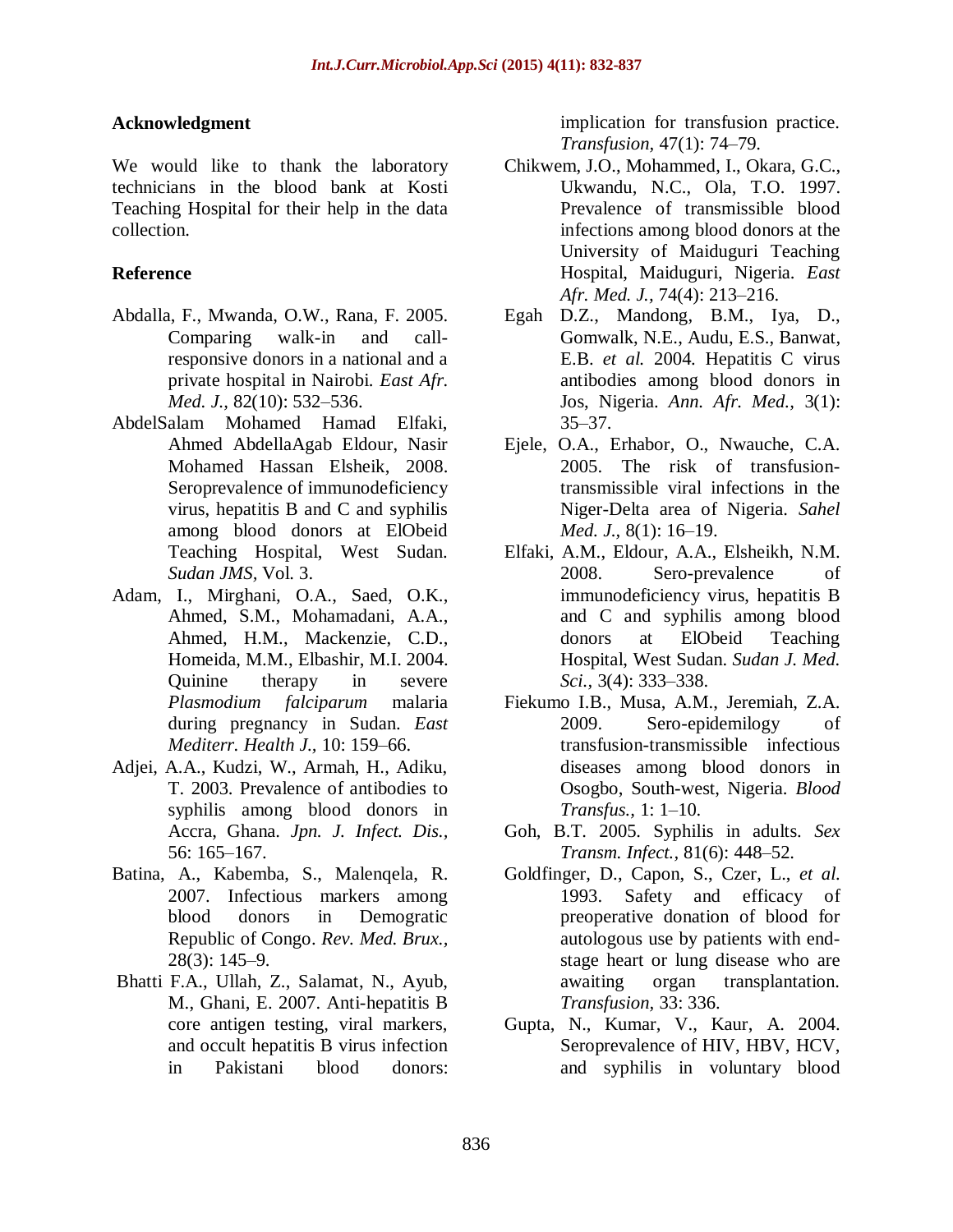#### **Acknowledgment**

We would like to thank the laboratory technicians in the blood bank at Kosti Teaching Hospital for their help in the data collection.

### **Reference**

- Abdalla, F., Mwanda, O.W., Rana, F. 2005. Comparing walk-in and callresponsive donors in a national and a private hospital in Nairobi. *East Afr. Med. J.,* 82(10): 532–536.
- AbdelSalam Mohamed Hamad Elfaki, Ahmed AbdellaAgab Eldour, Nasir Mohamed Hassan Elsheik, 2008. Seroprevalence of immunodeficiency virus, hepatitis B and C and syphilis among blood donors at ElObeid Teaching Hospital, West Sudan. *Sudan JMS,* Vol. 3.
- Adam, I., Mirghani, O.A., Saed, O.K., Ahmed, S.M., Mohamadani, A.A., Ahmed, H.M., Mackenzie, C.D., Homeida, M.M., Elbashir, M.I. 2004. Quinine therapy in severe *Plasmodium falciparum* malaria during pregnancy in Sudan. *East Mediterr. Health J.,* 10: 159–66.
- Adjei, A.A., Kudzi, W., Armah, H., Adiku, T. 2003. Prevalence of antibodies to syphilis among blood donors in Accra, Ghana. *Jpn. J. Infect. Dis.,* 56: 165–167.
- Batina, A., Kabemba, S., Malenqela, R. 2007. Infectious markers among blood donors in Demogratic Republic of Congo. *Rev. Med. Brux.,* 28(3): 145–9.
- Bhatti F.A., Ullah, Z., Salamat, N., Ayub, M., Ghani, E. 2007. Anti-hepatitis B core antigen testing, viral markers, and occult hepatitis B virus infection in Pakistani blood donors:

implication for transfusion practice. *Transfusion,* 47(1): 74–79.

- Chikwem, J.O., Mohammed, I., Okara, G.C., Ukwandu, N.C., Ola, T.O. 1997. Prevalence of transmissible blood infections among blood donors at the University of Maiduguri Teaching Hospital, Maiduguri, Nigeria. *East Afr. Med. J.,* 74(4): 213–216.
- Egah D.Z., Mandong, B.M., Iya, D., Gomwalk, N.E., Audu, E.S., Banwat, E.B. *et al.* 2004. Hepatitis C virus antibodies among blood donors in Jos, Nigeria. *Ann. Afr. Med.,* 3(1): 35–37.
- Ejele, O.A., Erhabor, O., Nwauche, C.A. 2005. The risk of transfusiontransmissible viral infections in the Niger-Delta area of Nigeria. *Sahel Med. J.,* 8(1): 16–19.
- Elfaki, A.M., Eldour, A.A., Elsheikh, N.M. 2008. Sero-prevalence of immunodeficiency virus, hepatitis B and C and syphilis among blood donors at ElObeid Teaching Hospital, West Sudan. *Sudan J. Med. Sci.,* 3(4): 333–338.
- Fiekumo I.B., Musa, A.M., Jeremiah, Z.A. 2009. Sero-epidemilogy of transfusion-transmissible infectious diseases among blood donors in Osogbo, South-west, Nigeria. *Blood Transfus.,* 1: 1–10.
- Goh, B.T. 2005. Syphilis in adults. *Sex Transm. Infect.,* 81(6): 448–52.
- [Goldfinger,](file:///C:\Users\Public\Downloads\uptodate%2021.2\uptodate\UpToDate\contents\mobipreview.htm) D., Capon, S., Czer, L., *et al.*  [1993. Safety and efficacy of](file:///C:\Users\Public\Downloads\uptodate%2021.2\uptodate\UpToDate\contents\mobipreview.htm)  [preoperative donation of blood for](file:///C:\Users\Public\Downloads\uptodate%2021.2\uptodate\UpToDate\contents\mobipreview.htm)  [autologous use by patients with end](file:///C:\Users\Public\Downloads\uptodate%2021.2\uptodate\UpToDate\contents\mobipreview.htm)[stage heart or lung disease who are](file:///C:\Users\Public\Downloads\uptodate%2021.2\uptodate\UpToDate\contents\mobipreview.htm)  [awaiting organ transplantation.](file:///C:\Users\Public\Downloads\uptodate%2021.2\uptodate\UpToDate\contents\mobipreview.htm)  *[Transfusion,](file:///C:\Users\Public\Downloads\uptodate%2021.2\uptodate\UpToDate\contents\mobipreview.htm)* 33: 336.
- Gupta, N., Kumar, V., Kaur, A. 2004. Seroprevalence of HIV, HBV, HCV, and syphilis in voluntary blood